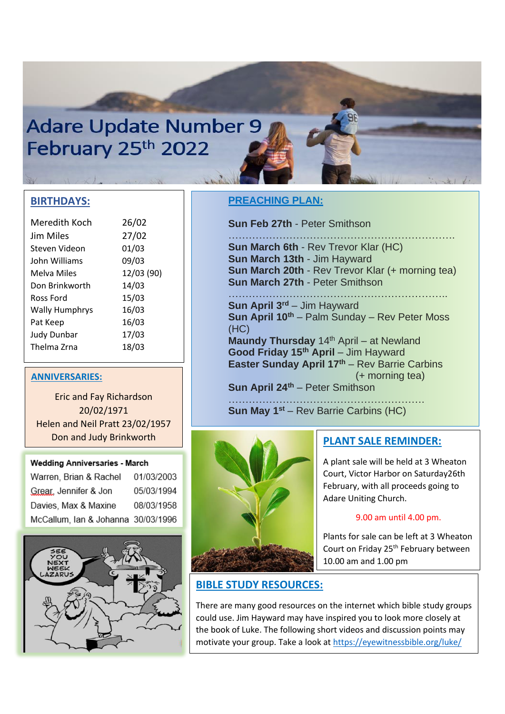# **Adare Update Number 9** February 25th 2022

### **BIRTHDAYS:**

| Meredith Koch         | 26/02      |
|-----------------------|------------|
| Jim Miles             | 27/02      |
| Steven Videon         | 01/03      |
| John Williams         | 09/03      |
| Melva Miles           | 12/03 (90) |
| Don Brinkworth        | 14/03      |
| Ross Ford             | 15/03      |
| <b>Wally Humphrys</b> | 16/03      |
| Pat Keep              | 16/03      |
| <b>Judy Dunbar</b>    | 17/03      |
| Thelma Zrna           | 18/03      |
|                       |            |

#### **ANNIVERSARIES:**

Eric and Fay Richardson 20/02/1971 Helen and Neil Pratt 23/02/1957 Don and Judy Brinkworth

24/02/1962

#### **Wedding Anniversaries - March**

| Warren, Brian & Rachel             | 01/03/2003 |
|------------------------------------|------------|
| Grear, Jennifer & Jon              | 05/03/1994 |
| Davies, Max & Maxine               | 08/03/1958 |
| McCallum, Ian & Johanna 30/03/1996 |            |



## **PREACHING PLAN:**

**Sun Feb 27th** - Peter Smithson

…………………………………………………………. **Sun March 6th** - Rev Trevor Klar (HC) **Sun March 13th** - Jim Hayward **Sun March 20th** - Rev Trevor Klar (+ morning tea) **Sun March 27th** - Peter Smithson

……………………………………………………….. **Sun April 3rd** – Jim Hayward **Sun April 10th** – Palm Sunday – Rev Peter Moss (HC)

**Maundy Thursday** 14<sup>th</sup> April – at Newland **Good Friday 15th April** – Jim Hayward **Easter Sunday April 17th** – Rev Barrie Carbins (+ morning tea)

**Sun April 24th** – Peter Smithson

…………………………………………………. **Sun May 1st** – Rev Barrie Carbins (HC)



## **PLANT SALE REMINDER:**

A plant sale will be held at 3 Wheaton Court, Victor Harbor on Saturday26th February, with all proceeds going to Adare Uniting Church.

#### 9.00 am until 4.00 pm.

Plants for sale can be left at 3 Wheaton Court on Friday 25<sup>th</sup> February between 10.00 am and 1.00 pm

# **BIBLE STUDY RESOURCES:**

There are many good resources on the internet which bible study groups could use. Jim Hayward may have inspired you to look more closely at the book of Luke. The following short videos and discussion points may motivate your group. Take a look a[t https://eyewitnessbible.org/luke/](https://eyewitnessbible.org/luke/)